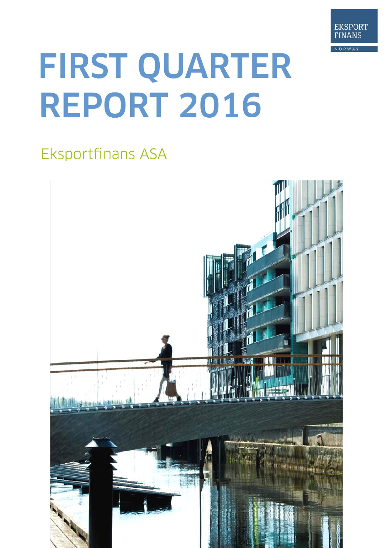

# FIRST QUARTER **REPORT 2016**

# **Eksportfinans ASA**

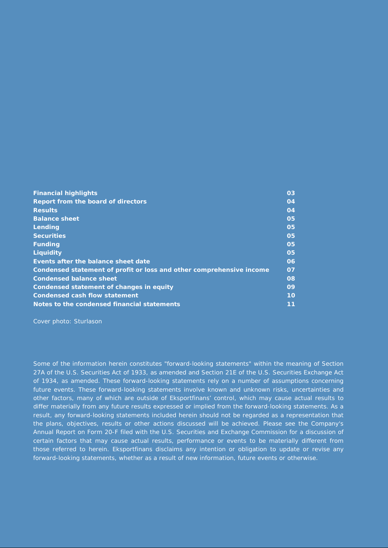| <b>Financial highlights</b>                                          | 03              |
|----------------------------------------------------------------------|-----------------|
| Report from the board of directors                                   | 04              |
| <b>Results</b>                                                       | 04              |
| <b>Balance sheet</b>                                                 | 05              |
| Lending                                                              | 05              |
| <b>Securities</b>                                                    | 05              |
| <b>Funding</b>                                                       | 05              |
| <b>Liquidity</b>                                                     | 05              |
| Events after the balance sheet date                                  | 06              |
| Condensed statement of profit or loss and other comprehensive income | 07              |
| <b>Condensed balance sheet</b>                                       | 08              |
| Condensed statement of changes in equity                             | 09              |
| <b>Condensed cash flow statement</b>                                 | 10 <sup>1</sup> |
| Notes to the condensed financial statements                          | 11              |

Cover photo: Sturlason

Some of the information herein constitutes "forward-looking statements" within the meaning of Section 27A of the U.S. Securities Act of 1933, as amended and Section 21E of the U.S. Securities Exchange Act of 1934, as amended. These forward-looking statements rely on a number of assumptions concerning future events. These forward-looking statements involve known and unknown risks, uncertainties and other factors, many of which are outside of Eksportfinans' control, which may cause actual results to differ materially from any future results expressed or implied from the forward-looking statements. As a result, any forward-looking statements included herein should not be regarded as a representation that the plans, objectives, results or other actions discussed will be achieved. Please see the Company's Annual Report on Form 20-F filed with the U.S. Securities and Exchange Commission for a discussion of certain factors that may cause actual results, performance or events to be materially different from those referred to herein. Eksportfinans disclaims any intention or obligation to update or revise any forward-looking statements, whether as a result of new information, future events or otherwise.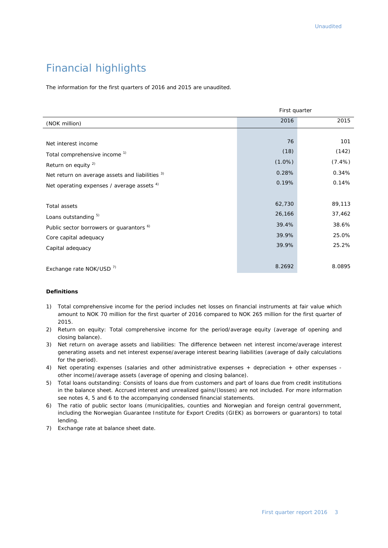# Financial highlights

The information for the first quarters of 2016 and 2015 are unaudited.

|                                                     | First quarter |           |
|-----------------------------------------------------|---------------|-----------|
| (NOK million)                                       | 2016          | 2015      |
|                                                     |               |           |
| Net interest income                                 | 76            | 101       |
| Total comprehensive income <sup>1)</sup>            | (18)          | (142)     |
| Return on equity <sup>2)</sup>                      | $(1.0\%)$     | $(7.4\%)$ |
| Net return on average assets and liabilities 3)     | 0.28%         | 0.34%     |
| Net operating expenses / average assets 4)          | 0.19%         | 0.14%     |
|                                                     |               |           |
| Total assets                                        | 62,730        | 89,113    |
| Loans outstanding 5)                                | 26,166        | 37,462    |
| Public sector borrowers or guarantors <sup>6)</sup> | 39.4%         | 38.6%     |
| Core capital adequacy                               | 39.9%         | 25.0%     |
| Capital adequacy                                    | 39.9%         | 25.2%     |
|                                                     |               |           |
| Exchange rate NOK/USD <sup>7)</sup>                 | 8.2692        | 8.0895    |

#### **Definitions**

- 1) Total comprehensive income for the period includes net losses on financial instruments at fair value which amount to NOK 70 million for the first quarter of 2016 compared to NOK 265 million for the first quarter of 2015.
- 2) Return on equity: Total comprehensive income for the period/average equity (average of opening and closing balance).
- 3) Net return on average assets and liabilities: The difference between net interest income/average interest generating assets and net interest expense/average interest bearing liabilities (average of daily calculations for the period).
- 4) Net operating expenses (salaries and other administrative expenses + depreciation + other expenses other income)/average assets (average of opening and closing balance).
- 5) Total loans outstanding: Consists of loans due from customers and part of loans due from credit institutions in the balance sheet. Accrued interest and unrealized gains/(losses) are not included. For more information see notes 4, 5 and 6 to the accompanying condensed financial statements.
- 6) The ratio of public sector loans (municipalities, counties and Norwegian and foreign central government, including the Norwegian Guarantee Institute for Export Credits (GIEK) as borrowers or guarantors) to total lending.
- 7) Exchange rate at balance sheet date.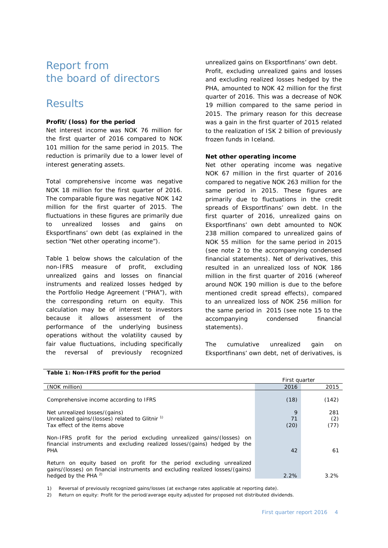## Report from the board of directors

## **Results**

#### **Profit/(loss) for the period**

Net interest income was NOK 76 million for the first quarter of 2016 compared to NOK 101 million for the same period in 2015. The reduction is primarily due to a lower level of interest generating assets.

Total comprehensive income was negative NOK 18 million for the first quarter of 2016. The comparable figure was negative NOK 142 million for the first quarter of 2015. The fluctuations in these figures are primarily due to unrealized losses and gains on Eksportfinans' own debt (as explained in the section "Net other operating income").

Table 1 below shows the calculation of the non-IFRS measure of profit, excluding unrealized gains and losses on financial instruments and realized losses hedged by the Portfolio Hedge Agreement ("PHA"), with the corresponding return on equity. This calculation may be of interest to investors because it allows assessment of the performance of the underlying business operations without the volatility caused by fair value fluctuations, including specifically the reversal of previously recognized

unrealized gains on Eksportfinans' own debt. Profit, excluding unrealized gains and losses and excluding realized losses hedged by the PHA, amounted to NOK 42 million for the first quarter of 2016. This was a decrease of NOK 19 million compared to the same period in 2015. The primary reason for this decrease was a gain in the first quarter of 2015 related to the realization of ISK 2 billion of previously frozen funds in Iceland.

#### **Net other operating income**

Net other operating income was negative NOK 67 million in the first quarter of 2016 compared to negative NOK 263 million for the same period in 2015. These figures are primarily due to fluctuations in the credit spreads of Eksportfinans' own debt. In the first quarter of 2016, unrealized gains on Eksportfinans' own debt amounted to NOK 238 million compared to unrealized gains of NOK 55 million for the same period in 2015 (see note 2 to the accompanying condensed financial statements). Net of derivatives, this resulted in an unrealized loss of NOK 186 million in the first quarter of 2016 (whereof around NOK 190 million is due to the before mentioned credit spread effects), compared to an unrealized loss of NOK 256 million for the same period in 2015 (see note 15 to the accompanying condensed financial statements).

The cumulative unrealized gain on Eksportfinans' own debt, net of derivatives, is

| Table 1: Non-IFRS profit for the period                                                                                                                                           |                 |                    |  |  |  |
|-----------------------------------------------------------------------------------------------------------------------------------------------------------------------------------|-----------------|--------------------|--|--|--|
|                                                                                                                                                                                   | First quarter   |                    |  |  |  |
| (NOK million)                                                                                                                                                                     | 2016            | 2015               |  |  |  |
| Comprehensive income according to IFRS                                                                                                                                            | (18)            | (142)              |  |  |  |
| Net unrealized losses/(gains)<br>Unrealized gains/(losses) related to Glitnir <sup>1)</sup><br>Tax effect of the items above                                                      | 9<br>71<br>(20) | 281<br>(2)<br>(77) |  |  |  |
| Non-IFRS profit for the period excluding unrealized gains/(losses) on<br>financial instruments and excluding realized losses/(gains) hedged by the<br><b>PHA</b>                  | 42              | 61                 |  |  |  |
| Return on equity based on profit for the period excluding unrealized<br>gains/(losses) on financial instruments and excluding realized losses/(gains)<br>hedged by the PHA $^{2}$ | 2.2%            | 3.2%               |  |  |  |

1) Reversal of previously recognized gains/losses (at exchange rates applicable at reporting date).

2) Return on equity: Profit for the period/average equity adjusted for proposed not distributed dividends.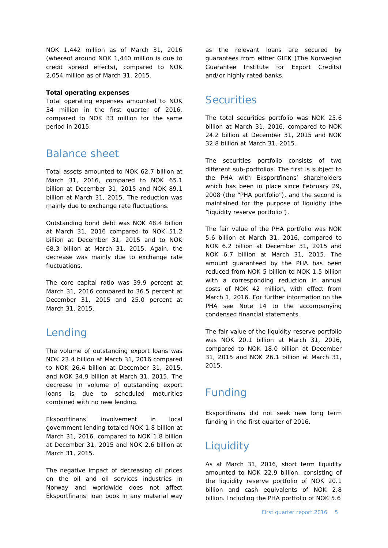NOK 1,442 million as of March 31, 2016 (whereof around NOK 1,440 million is due to credit spread effects), compared to NOK 2,054 million as of March 31, 2015.

#### **Total operating expenses**

Total operating expenses amounted to NOK 34 million in the first quarter of 2016, compared to NOK 33 million for the same period in 2015.

## Balance sheet

Total assets amounted to NOK 62.7 billion at March 31, 2016, compared to NOK 65.1 billion at December 31, 2015 and NOK 89.1 billion at March 31, 2015. The reduction was mainly due to exchange rate fluctuations.

Outstanding bond debt was NOK 48.4 billion at March 31, 2016 compared to NOK 51.2 billion at December 31, 2015 and to NOK 68.3 billion at March 31, 2015. Again, the decrease was mainly due to exchange rate fluctuations.

The core capital ratio was 39.9 percent at March 31, 2016 compared to 36.5 percent at December 31, 2015 and 25.0 percent at March 31, 2015.

## Lending

The volume of outstanding export loans was NOK 23.4 billion at March 31, 2016 compared to NOK 26.4 billion at December 31, 2015, and NOK 34.9 billion at March 31, 2015. The decrease in volume of outstanding export loans is due to scheduled maturities combined with no new lending.

Eksportfinans' involvement in local government lending totaled NOK 1.8 billion at March 31, 2016, compared to NOK 1.8 billion at December 31, 2015 and NOK 2.6 billion at March 31, 2015.

The negative impact of decreasing oil prices on the oil and oil services industries in Norway and worldwide does not affect Eksportfinans' loan book in any material way

as the relevant loans are secured by guarantees from either GIEK (The Norwegian Guarantee Institute for Export Credits) and/or highly rated banks.

## **Securities**

The total securities portfolio was NOK 25.6 billion at March 31, 2016, compared to NOK 24.2 billion at December 31, 2015 and NOK 32.8 billion at March 31, 2015.

The securities portfolio consists of two different sub-portfolios. The first is subject to the PHA with Eksportfinans' shareholders which has been in place since February 29, 2008 (the "PHA portfolio"), and the second is maintained for the purpose of liquidity (the "liquidity reserve portfolio").

The fair value of the PHA portfolio was NOK 5.6 billion at March 31, 2016, compared to NOK 6.2 billion at December 31, 2015 and NOK 6.7 billion at March 31, 2015. The amount guaranteed by the PHA has been reduced from NOK 5 billion to NOK 1.5 billion with a corresponding reduction in annual costs of NOK 42 million, with effect from March 1, 2016. For further information on the PHA see Note 14 to the accompanying condensed financial statements.

The fair value of the liquidity reserve portfolio was NOK 20.1 billion at March 31, 2016, compared to NOK 18.0 billion at December 31, 2015 and NOK 26.1 billion at March 31, 2015.

# Funding

Eksportfinans did not seek new long term funding in the first quarter of 2016.

# **Liquidity**

As at March 31, 2016, short term liquidity amounted to NOK 22.9 billion, consisting of the liquidity reserve portfolio of NOK 20.1 billion and cash equivalents of NOK 2.8 billion. Including the PHA portfolio of NOK 5.6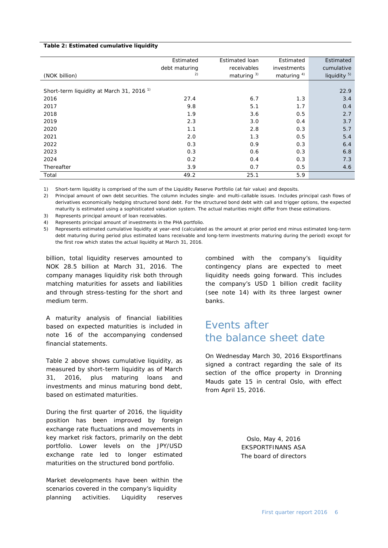#### **Table 2: Estimated cumulative liquidity**

|                                                      | Estimated     | Estimated loan | Estimated      | Estimated               |
|------------------------------------------------------|---------------|----------------|----------------|-------------------------|
|                                                      | debt maturing | receivables    | investments    | cumulative              |
| (NOK billion)                                        | 2)            | maturing $3)$  | maturing $4$ ) | liquidity <sup>5)</sup> |
|                                                      |               |                |                |                         |
| Short-term liquidity at March 31, 2016 <sup>1)</sup> |               |                |                | 22.9                    |
| 2016                                                 | 27.4          | 6.7            | 1.3            | 3.4                     |
| 2017                                                 | 9.8           | 5.1            | 1.7            | 0.4                     |
| 2018                                                 | 1.9           | 3.6            | 0.5            | 2.7                     |
| 2019                                                 | 2.3           | 3.0            | 0.4            | 3.7                     |
| 2020                                                 | 1.1           | 2.8            | 0.3            | 5.7                     |
| 2021                                                 | 2.0           | 1.3            | 0.5            | 5.4                     |
| 2022                                                 | 0.3           | 0.9            | 0.3            | 6.4                     |
| 2023                                                 | 0.3           | 0.6            | 0.3            | 6.8                     |
| 2024                                                 | 0.2           | 0.4            | 0.3            | 7.3                     |
| Thereafter                                           | 3.9           | 0.7            | 0.5            | 4.6                     |
| Total                                                | 49.2          | 25.1           | 5.9            |                         |

1) Short-term liquidity is comprised of the sum of the Liquidity Reserve Portfolio (at fair value) and deposits.

2) Principal amount of own debt securities. The column includes single- and multi-callable issues. Includes principal cash flows of derivatives economically hedging structured bond debt. For the structured bond debt with call and trigger options, the expected maturity is estimated using a sophisticated valuation system. The actual maturities might differ from these estimations.

Represents principal amount of loan receivables.

4) Represents principal amount of investments in the PHA portfolio.

5) Represents estimated cumulative liquidity at year-end (calculated as the amount at prior period end minus estimated long-term debt maturing during period plus estimated loans receivable and long-term investments maturing during the period) except for the first row which states the actual liquidity at March 31, 2016.

billion, total liquidity reserves amounted to NOK 28.5 billion at March 31, 2016. The company manages liquidity risk both through matching maturities for assets and liabilities and through stress-testing for the short and medium term.

A maturity analysis of financial liabilities based on expected maturities is included in note 16 of the accompanying condensed financial statements.

Table 2 above shows cumulative liquidity, as measured by short-term liquidity as of March 31, 2016, plus maturing loans and investments and minus maturing bond debt, based on estimated maturities.

During the first quarter of 2016, the liquidity position has been improved by foreign exchange rate fluctuations and movements in key market risk factors, primarily on the debt portfolio. Lower levels on the JPY/USD exchange rate led to longer estimated maturities on the structured bond portfolio.

Market developments have been within the scenarios covered in the company's liquidity planning activities. Liquidity reserves combined with the company's liquidity contingency plans are expected to meet liquidity needs going forward. This includes the company's USD 1 billion credit facility (see note 14) with its three largest owner banks.

## Events after the balance sheet date

On Wednesday March 30, 2016 Eksportfinans signed a contract regarding the sale of its section of the office property in Dronning Mauds gate 15 in central Oslo, with effect from April 15, 2016.

> Oslo, May 4, 2016 EKSPORTFINANS ASA The board of directors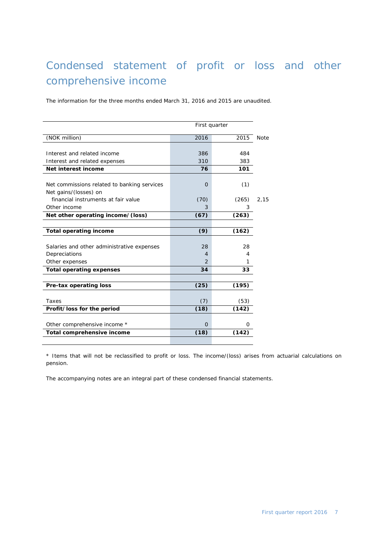# Condensed statement of profit or loss and other comprehensive income

The information for the three months ended March 31, 2016 and 2015 are unaudited.

| First quarter                               |          |       |             |  |
|---------------------------------------------|----------|-------|-------------|--|
| (NOK million)                               | 2016     | 2015  | <b>Note</b> |  |
|                                             |          |       |             |  |
| Interest and related income                 | 386      | 484   |             |  |
| Interest and related expenses               | 310      | 383   |             |  |
| Net interest income                         | 76       | 101   |             |  |
|                                             |          |       |             |  |
| Net commissions related to banking services | O        | (1)   |             |  |
| Net gains/(losses) on                       |          |       |             |  |
| financial instruments at fair value         | (70)     | (265) | 2,15        |  |
| Other income                                | 3        | 3     |             |  |
| Net other operating income/(loss)           | (67)     | (263) |             |  |
|                                             |          |       |             |  |
| <b>Total operating income</b>               | (9)      | (162) |             |  |
|                                             |          |       |             |  |
| Salaries and other administrative expenses  | 28       | 28    |             |  |
| Depreciations                               | 4        | 4     |             |  |
| Other expenses                              | 2        | 1     |             |  |
| <b>Total operating expenses</b>             | 34       | 33    |             |  |
|                                             |          |       |             |  |
| Pre-tax operating loss                      | (25)     | (195) |             |  |
|                                             |          |       |             |  |
| Taxes                                       | (7)      | (53)  |             |  |
| Profit/loss for the period                  | (18)     | (142) |             |  |
|                                             |          |       |             |  |
| Other comprehensive income *                | $\Omega$ | Ο     |             |  |
| Total comprehensive income                  | (18)     | (142) |             |  |
|                                             |          |       |             |  |

\* Items that will not be reclassified to profit or loss. The income/(loss) arises from actuarial calculations on pension.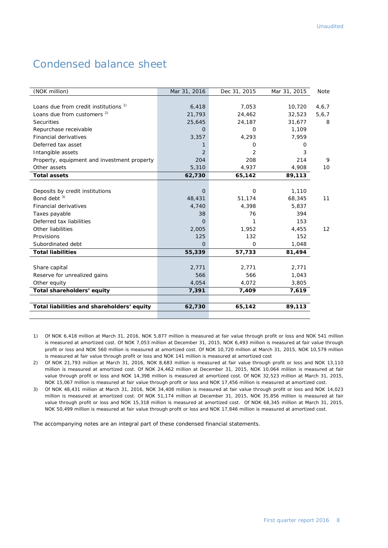## Condensed balance sheet

| (NOK million)                                    | Mar 31, 2016   | Dec 31, 2015 | Mar 31, 2015 | Note    |
|--------------------------------------------------|----------------|--------------|--------------|---------|
|                                                  |                |              |              |         |
| Loans due from credit institutions <sup>1)</sup> | 6,418          | 7.053        | 10,720       | 4,6,7   |
| Loans due from customers <sup>2)</sup>           | 21,793         | 24,462       | 32,523       | 5, 6, 7 |
| <b>Securities</b>                                | 25,645         | 24,187       | 31,677       | 8       |
| Repurchase receivable                            | 0              | 0            | 1,109        |         |
| <b>Financial derivatives</b>                     | 3,357          | 4,293        | 7,959        |         |
| Deferred tax asset                               |                | 0            | O            |         |
| Intangible assets                                | 2              | 2            | 3            |         |
| Property, equipment and investment property      | 204            | 208          | 214          | 9       |
| Other assets                                     | 5,310          | 4,937        | 4,908        | 10      |
| <b>Total assets</b>                              | 62,730         | 65,142       | 89,113       |         |
|                                                  |                |              |              |         |
| Deposits by credit institutions                  | $\overline{0}$ | $\mathbf 0$  | 1,110        |         |
| Bond debt $3)$                                   | 48,431         | 51,174       | 68,345       | 11      |
| <b>Financial derivatives</b>                     | 4,740          | 4,398        | 5,837        |         |
| Taxes payable                                    | 38             | 76           | 394          |         |
| Deferred tax liabilities                         | $\Omega$       | 1            | 153          |         |
| Other liabilities                                | 2,005          | 1,952        | 4,455        | 12      |
| Provisions                                       | 125            | 132          | 152          |         |
| Subordinated debt                                | $\Omega$       | $\Omega$     | 1,048        |         |
| <b>Total liabilities</b>                         | 55,339         | 57,733       | 81,494       |         |
|                                                  |                |              |              |         |
| Share capital                                    | 2,771          | 2,771        | 2,771        |         |
| Reserve for unrealized gains                     | 566            | 566          | 1,043        |         |
| Other equity                                     | 4,054          | 4,072        | 3,805        |         |
| Total shareholders' equity                       | 7,391          | 7,409        | 7,619        |         |
|                                                  |                |              |              |         |
| Total liabilities and shareholders' equity       | 62,730         | 65,142       | 89,113       |         |
|                                                  |                |              |              |         |

- 1) Of NOK 6,418 million at March 31, 2016, NOK 5,877 million is measured at fair value through profit or loss and NOK 541 million is measured at amortized cost. Of NOK 7,053 million at December 31, 2015, NOK 6,493 million is measured at fair value through profit or loss and NOK 560 million is measured at amortized cost. Of NOK 10,720 million at March 31, 2015, NOK 10,579 million is measured at fair value through profit or loss and NOK 141 million is measured at amortized cost
- 2) Of NOK 21,793 million at March 31, 2016, NOK 8,683 million is measured at fair value through profit or loss and NOK 13,110 million is measured at amortized cost. Of NOK 24,462 million at December 31, 2015, NOK 10,064 million is measured at fair value through profit or loss and NOK 14,398 million is measured at amortized cost. Of NOK 32,523 million at March 31, 2015, NOK 15,067 million is measured at fair value through profit or loss and NOK 17,456 million is measured at amortized cost.
- 3) Of NOK 48,431 million at March 31, 2016, NOK 34,408 million is measured at fair value through profit or loss and NOK 14,023 million is measured at amortized cost. Of NOK 51,174 million at December 31, 2015, NOK 35,856 million is measured at fair value through profit or loss and NOK 15,318 million is measured at amortized cost. Of NOK 68,345 million at March 31, 2015, NOK 50,499 million is measured at fair value through profit or loss and NOK 17,846 million is measured at amortized cost.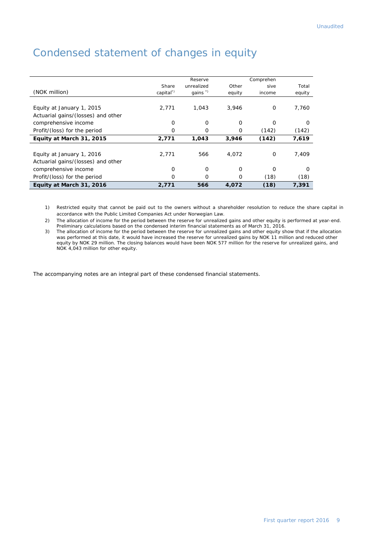|                                    |          | Reserve             |          | Comprehen |          |
|------------------------------------|----------|---------------------|----------|-----------|----------|
|                                    | Share    | unrealized          | Other    | sive      | Total    |
| (NOK million)                      | capital" | qains $\sqrt[3]{ }$ | equity   | income    | equity   |
|                                    |          |                     |          |           |          |
| Equity at January 1, 2015          | 2.771    | 1.043               | 3.946    | 0         | 7.760    |
| Actuarial gains/(losses) and other |          |                     |          |           |          |
| comprehensive income               | $\Omega$ | O                   | $\Omega$ | $\Omega$  | $\Omega$ |
| Profit/(loss) for the period       | $\Omega$ | O                   | Ο        | (142)     | (142)    |
| Equity at March 31, 2015           | 2,771    | 1,043               | 3,946    | (142)     | 7,619    |
|                                    |          |                     |          |           |          |
| Equity at January 1, 2016          | 2.771    | 566                 | 4.072    | $\Omega$  | 7.409    |
| Actuarial gains/(losses) and other |          |                     |          |           |          |
| comprehensive income               | 0        | 0                   | $\Omega$ | $\Omega$  | O        |
| Profit/(loss) for the period       | $\Omega$ | O                   | O        | (18)      | (18)     |
| Equity at March 31, 2016           | 2,771    | 566                 | 4.072    | (18)      | 7,391    |

# Condensed statement of changes in equity

1) Restricted equity that cannot be paid out to the owners without a shareholder resolution to reduce the share capital in accordance with the Public Limited Companies Act under Norwegian Law.

2) The allocation of income for the period between the reserve for unrealized gains and other equity is performed at year-end. Preliminary calculations based on the condensed interim financial statements as of March 31, 2016.

3) The allocation of income for the period between the reserve for unrealized gains and other equity show that if the allocation was performed at this date, it would have increased the reserve for unrealized gains by NOK 11 million and reduced other equity by NOK 29 million. The closing balances would have been NOK 577 million for the reserve for unrealized gains, and NOK 4,043 million for other equity.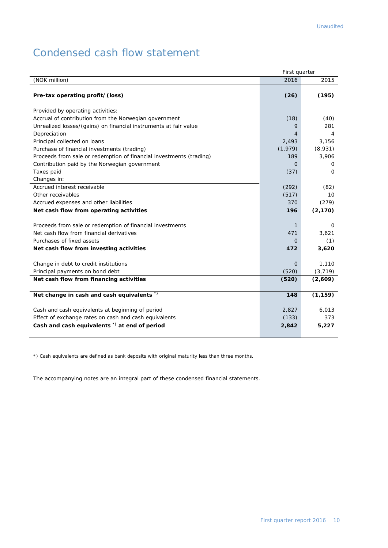# Condensed cash flow statement

|                                                                     | First quarter |          |
|---------------------------------------------------------------------|---------------|----------|
| (NOK million)                                                       | 2016          | 2015     |
| Pre-tax operating profit/(loss)                                     | (26)          | (195)    |
|                                                                     |               |          |
| Provided by operating activities:                                   |               |          |
| Accrual of contribution from the Norwegian government               | (18)          | (40)     |
| Unrealized losses/(gains) on financial instruments at fair value    | 9             | 281      |
| Depreciation                                                        | 4             | 4        |
| Principal collected on loans                                        | 2,493         | 3.156    |
| Purchase of financial investments (trading)                         | (1, 979)      | (8,931)  |
| Proceeds from sale or redemption of financial investments (trading) | 189           | 3,906    |
| Contribution paid by the Norwegian government                       | 0             | 0        |
| Taxes paid                                                          | (37)          | 0        |
| Changes in:                                                         |               |          |
| Accrued interest receivable                                         | (292)         | (82)     |
| Other receivables                                                   | (517)         | 10       |
| Accrued expenses and other liabilities                              | 370           | (279)    |
| Net cash flow from operating activities                             | 196           | (2, 170) |
|                                                                     |               |          |
| Proceeds from sale or redemption of financial investments           | 1             | 0        |
| Net cash flow from financial derivatives                            | 471           | 3,621    |
| Purchases of fixed assets                                           | $\Omega$      | (1)      |
| Net cash flow from investing activities                             | 472           | 3,620    |
| Change in debt to credit institutions                               | $\Omega$      | 1,110    |
| Principal payments on bond debt                                     | (520)         | (3, 719) |
| Net cash flow from financing activities                             | (520)         | (2,609)  |
|                                                                     |               |          |
| Net change in cash and cash equivalents *)                          | 148           | (1, 159) |
| Cash and cash equivalents at beginning of period                    | 2,827         | 6,013    |
| Effect of exchange rates on cash and cash equivalents               | (133)         | 373      |
| Cash and cash equivalents <sup>*</sup> at end of period             | 2,842         | 5,227    |
|                                                                     |               |          |

\*) Cash equivalents are defined as bank deposits with original maturity less than three months.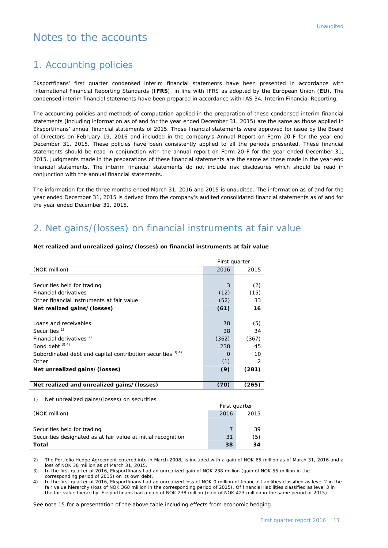## Notes to the accounts

## 1. Accounting policies

Eksportfinans' first quarter condensed interim financial statements have been presented in accordance with International Financial Reporting Standards (**IFRS**), in line with IFRS as adopted by the European Union (**EU**). The condensed interim financial statements have been prepared in accordance with IAS 34, Interim Financial Reporting.

The accounting policies and methods of computation applied in the preparation of these condensed interim financial statements (including information as of and for the year ended December 31, 2015) are the same as those applied in Eksportfinans' annual financial statements of 2015. Those financial statements were approved for issue by the Board of Directors on February 19, 2016 and included in the company's Annual Report on Form 20-F for the year-end December 31, 2015. These policies have been consistently applied to all the periods presented. These financial statements should be read in conjunction with the annual report on Form 20-F for the year ended December 31, 2015. Judgments made in the preparations of these financial statements are the same as those made in the year-end financial statements. The interim financial statements do not include risk disclosures which should be read in conjunction with the annual financial statements.

The information for the three months ended March 31, 2016 and 2015 is unaudited. The information as of and for the year ended December 31, 2015 is derived from the company's audited consolidated financial statements as of and for the year ended December 31, 2015.

## 2. Net gains/(losses) on financial instruments at fair value

#### **Net realized and unrealized gains/(losses) on financial instruments at fair value**

|                                                                        | First quarter |       |
|------------------------------------------------------------------------|---------------|-------|
| (NOK million)                                                          | 2016          | 2015  |
|                                                                        |               |       |
| Securities held for trading                                            | 3             | (2)   |
| <b>Financial derivatives</b>                                           | (12)          | (15)  |
| Other financial instruments at fair value                              | (52)          | 33    |
| Net realized gains/(losses)                                            | (61)          | 16    |
|                                                                        |               |       |
| Loans and receivables                                                  | 78            | (5)   |
| Securities <sup>1)</sup>                                               | 38            | 34    |
| Financial derivatives <sup>2)</sup>                                    | (362)         | (367) |
| Bond debt $3)$ 4)                                                      | 238           | 45    |
| Subordinated debt and capital contribution securities <sup>3) 4)</sup> | $\Omega$      | 10    |
| Other                                                                  | (1)           | 2     |
| Net unrealized gains/(losses)                                          | (9)           | (281) |
|                                                                        |               |       |
| Net realized and unrealized gains/(losses)                             | (70)          | (265) |
|                                                                        |               |       |

1) Net unrealized gains/(losses) on securities

|                                                               | First quarter |      |
|---------------------------------------------------------------|---------------|------|
| (NOK million)                                                 | 2016          | 2015 |
|                                                               |               |      |
| Securities held for trading                                   |               | 39   |
| Securities designated as at fair value at initial recognition | 31            | (5)  |
| Total                                                         | 38            | 34   |

2) The Portfolio Hedge Agreement entered into in March 2008, is included with a gain of NOK 65 million as of March 31, 2016 and a loss of NOK 38 million as of March 31, 2015.

3) In the first quarter of 2016, Eksportfinans had an unrealized gain of NOK 238 million (gain of NOK 55 million in the corresponding period of 2015) on its own debt.

4) In the first quarter of 2016, Eksportfinans had an unrealized loss of NOK 0 million of financial liabilities classified as level 2 in the fair value hierarchy (loss of NOK 368 million in the corresponding period of 2015). Of financial liabilities classified as level 3 in the fair value hierarchy, Eksportfinans had a gain of NOK 238 million (gain of NOK 423 million in the same period of 2015).

See note 15 for a presentation of the above table including effects from economic hedging.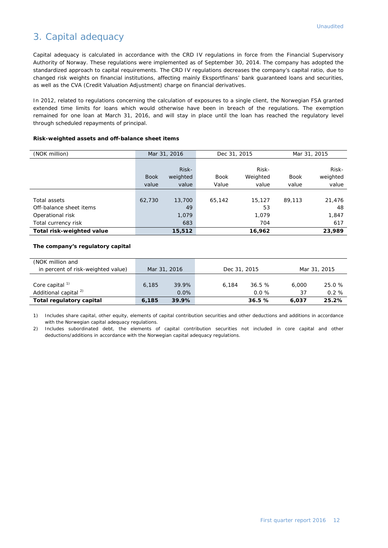## 3. Capital adequacy

Capital adequacy is calculated in accordance with the CRD IV regulations in force from the Financial Supervisory Authority of Norway. These regulations were implemented as of September 30, 2014. The company has adopted the standardized approach to capital requirements. The CRD IV regulations decreases the company's capital ratio, due to changed risk weights on financial institutions, affecting mainly Eksportfinans' bank guaranteed loans and securities, as well as the CVA (Credit Valuation Adjustment) charge on financial derivatives.

In 2012, related to regulations concerning the calculation of exposures to a single client, the Norwegian FSA granted extended time limits for loans which would otherwise have been in breach of the regulations. The exemption remained for one loan at March 31, 2016, and will stay in place until the loan has reached the regulatory level through scheduled repayments of principal.

| Risk-weighted assets and off-balance sheet items |  |  |  |  |
|--------------------------------------------------|--|--|--|--|
|--------------------------------------------------|--|--|--|--|

| (NOK million)             |             | Mar 31, 2016 |             | Dec 31, 2015 |             | Mar 31, 2015 |
|---------------------------|-------------|--------------|-------------|--------------|-------------|--------------|
|                           |             |              |             |              |             |              |
|                           |             | Risk-        |             | Risk-        |             | Risk-        |
|                           | <b>Book</b> | weighted     | <b>Book</b> | Weighted     | <b>Book</b> | weighted     |
|                           | value       | value        | Value       | value        | value       | value        |
|                           |             |              |             |              |             |              |
| Total assets              | 62,730      | 13,700       | 65,142      | 15,127       | 89.113      | 21,476       |
| Off-balance sheet items   |             | 49           |             | 53           |             | 48           |
| Operational risk          |             | 1,079        |             | 1.079        |             | 1,847        |
| Total currency risk       |             | 683          |             | 704          |             | 617          |
| Total risk-weighted value |             | 15,512       |             | 16,962       |             | 23,989       |

#### **The company's regulatory capital**

| (NOK million and                   |              |       |       |          |       |          |              |  |  |              |
|------------------------------------|--------------|-------|-------|----------|-------|----------|--------------|--|--|--------------|
| in percent of risk-weighted value) | Mar 31, 2016 |       |       |          |       |          | Dec 31, 2015 |  |  | Mar 31, 2015 |
|                                    |              |       |       |          |       |          |              |  |  |              |
| Core capital <sup>1)</sup>         | 6,185        | 39.9% | 6.184 | 36.5%    | 6,000 | 25.0 %   |              |  |  |              |
| Additional capital <sup>2)</sup>   |              | 0.0%  |       | $0.0 \%$ | 37    | $0.2 \%$ |              |  |  |              |
| Total regulatory capital           | 6,185        | 39.9% |       | 36.5%    | 6.037 | 25.2%    |              |  |  |              |

1) Includes share capital, other equity, elements of capital contribution securities and other deductions and additions in accordance with the Norwegian capital adequacy regulations.

2) Includes subordinated debt, the elements of capital contribution securities not included in core capital and other deductions/additions in accordance with the Norwegian capital adequacy regulations.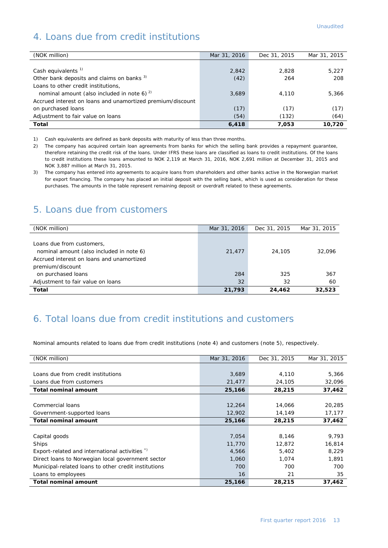## 4. Loans due from credit institutions

| (NOK million)                                              | Mar 31, 2016 | Dec 31, 2015 | Mar 31, 2015 |
|------------------------------------------------------------|--------------|--------------|--------------|
|                                                            |              |              |              |
| Cash equivalents <sup>1)</sup>                             | 2,842        | 2.828        | 5,227        |
| Other bank deposits and claims on banks 3)                 | (42)         | 264          | 208          |
| Loans to other credit institutions,                        |              |              |              |
| nominal amount (also included in note 6) <sup>2)</sup>     | 3,689        | 4,110        | 5,366        |
| Accrued interest on loans and unamortized premium/discount |              |              |              |
| on purchased loans                                         | (17)         | (17)         | (17)         |
| Adjustment to fair value on loans                          | (54)         | (132)        | (64)         |
| Total                                                      | 6,418        | 7,053        | 10.720       |

1) Cash equivalents are defined as bank deposits with maturity of less than three months.

2) The company has acquired certain loan agreements from banks for which the selling bank provides a repayment guarantee, therefore retaining the credit risk of the loans. Under IFRS these loans are classified as loans to credit institutions. Of the loans to credit institutions these loans amounted to NOK 2,119 at March 31, 2016, NOK 2,691 million at December 31, 2015 and NOK 3,887 million at March 31, 2015.

3) The company has entered into agreements to acquire loans from shareholders and other banks active in the Norwegian market for export financing. The company has placed an initial deposit with the selling bank, which is used as consideration for these purchases. The amounts in the table represent remaining deposit or overdraft related to these agreements.

#### 5. Loans due from customers

| (NOK million)                                                                                                                          | Mar 31, 2016 | Dec 31, 2015 | Mar 31, 2015 |
|----------------------------------------------------------------------------------------------------------------------------------------|--------------|--------------|--------------|
| Loans due from customers,<br>nominal amount (also included in note 6)<br>Accrued interest on loans and unamortized<br>premium/discount | 21,477       | 24,105       | 32.096       |
| on purchased loans                                                                                                                     | 284          | 325          | 367          |
| Adjustment to fair value on loans                                                                                                      | 32           | 32           | 60           |
| Total                                                                                                                                  | 21,793       | 24,462       | 32,523       |

## 6. Total loans due from credit institutions and customers

Nominal amounts related to loans due from credit institutions (note 4) and customers (note 5), respectively.

| (NOK million)                                        | Mar 31, 2016 | Dec 31, 2015 | Mar 31, 2015 |
|------------------------------------------------------|--------------|--------------|--------------|
|                                                      |              |              |              |
| Loans due from credit institutions                   | 3,689        | 4,110        | 5,366        |
| Loans due from customers                             | 21,477       | 24,105       | 32,096       |
| <b>Total nominal amount</b>                          | 25,166       | 28,215       | 37,462       |
|                                                      |              |              |              |
| Commercial loans                                     | 12,264       | 14,066       | 20,285       |
| Government-supported loans                           | 12,902       | 14,149       | 17,177       |
| <b>Total nominal amount</b>                          | 25,166       | 28,215       | 37,462       |
|                                                      |              |              |              |
| Capital goods                                        | 7,054        | 8,146        | 9,793        |
| Ships                                                | 11,770       | 12,872       | 16,814       |
| Export-related and international activities *)       | 4,566        | 5,402        | 8.229        |
| Direct loans to Norwegian local government sector    | 1,060        | 1,074        | 1,891        |
| Municipal-related loans to other credit institutions | 700          | 700          | 700          |
| Loans to employees                                   | 16           | 21           | 35           |
| <b>Total nominal amount</b>                          | 25,166       | 28,215       | 37,462       |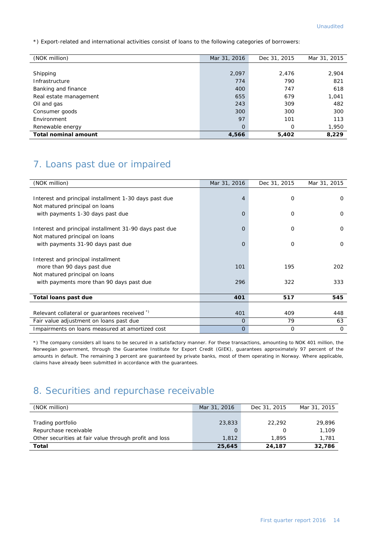\*) Export-related and international activities consist of loans to the following categories of borrowers:

| (NOK million)               | Mar 31, 2016   | Dec 31, 2015 | Mar 31, 2015 |
|-----------------------------|----------------|--------------|--------------|
|                             |                |              |              |
| Shipping                    | 2,097          | 2,476        | 2,904        |
| Infrastructure              | 774            | 790          | 821          |
| Banking and finance         | 400            | 747          | 618          |
| Real estate management      | 655            | 679          | 1,041        |
| Oil and gas                 | 243            | 309          | 482          |
| Consumer goods              | 300            | 300          | 300          |
| Environment                 | 97             | 101          | 113          |
| Renewable energy            | $\overline{0}$ | 0            | 1,950        |
| <b>Total nominal amount</b> | 4,566          | 5,402        | 8,229        |

## 7. Loans past due or impaired

| (NOK million)                                          | Mar 31, 2016   | Dec 31, 2015 | Mar 31, 2015 |
|--------------------------------------------------------|----------------|--------------|--------------|
|                                                        |                |              |              |
| Interest and principal installment 1-30 days past due  | $\overline{4}$ | O            | $\Omega$     |
| Not matured principal on loans                         |                |              |              |
| with payments 1-30 days past due                       | $\Omega$       | $\Omega$     | $\Omega$     |
|                                                        |                |              |              |
| Interest and principal installment 31-90 days past due | $\Omega$       | O            | $\Omega$     |
| Not matured principal on loans                         |                |              |              |
| with payments 31-90 days past due                      | $\overline{O}$ | $\Omega$     | $\Omega$     |
|                                                        |                |              |              |
| Interest and principal installment                     |                |              |              |
| more than 90 days past due                             | 101            | 195          | 202          |
| Not matured principal on loans                         |                |              |              |
| with payments more than 90 days past due               | 296            | 322          | 333          |
|                                                        |                |              |              |
| Total loans past due                                   | 401            | 517          | 545          |
|                                                        |                |              |              |
| Relevant collateral or guarantees received *)          | 401            | 409          | 448          |
| Fair value adjustment on loans past due                | $\Omega$       | 79           | 63           |
| Impairments on loans measured at amortized cost        | $\Omega$       | $\Omega$     | $\Omega$     |

\*) The company considers all loans to be secured in a satisfactory manner. For these transactions, amounting to NOK 401 million, the Norwegian government, through the Guarantee Institute for Export Credit (GIEK), guarantees approximately 97 percent of the amounts in default. The remaining 3 percent are guaranteed by private banks, most of them operating in Norway. Where applicable, claims have already been submitted in accordance with the guarantees.

## 8. Securities and repurchase receivable

| (NOK million)                                          | Mar 31, 2016 | Dec 31, 2015 | Mar 31, 2015 |
|--------------------------------------------------------|--------------|--------------|--------------|
|                                                        |              |              |              |
| Trading portfolio                                      | 23,833       | 22.292       | 29,896       |
| Repurchase receivable                                  |              |              | 1,109        |
| Other securities at fair value through profit and loss | 1,812        | 1.895        | 1,781        |
| <b>Total</b>                                           | 25,645       | 24,187       | 32,786       |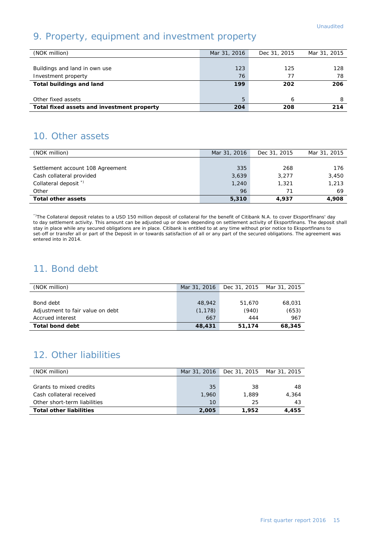## 9. Property, equipment and investment property

| (NOK million)                              | Mar 31, 2016 | Dec 31, 2015 | Mar 31, 2015 |
|--------------------------------------------|--------------|--------------|--------------|
|                                            |              |              |              |
| Buildings and land in own use              | 123          | 125          | 128          |
| Investment property                        | 76           | 77           | 78           |
| <b>Total buildings and land</b>            | 199          | 202          | 206          |
|                                            |              |              |              |
| Other fixed assets                         | 5            | 6            | 8            |
| Total fixed assets and investment property | 204          | 208          | 214          |

## 10. Other assets

| (NOK million)                    | Mar 31, 2016 | Dec 31, 2015 | Mar 31, 2015 |
|----------------------------------|--------------|--------------|--------------|
|                                  |              |              |              |
| Settlement account 108 Agreement | 335          | 268          | 176          |
| Cash collateral provided         | 3,639        | 3,277        | 3,450        |
| Collateral deposit <sup>*</sup>  | 1,240        | 1,321        | 1,213        |
| Other                            | 96           |              | 69           |
| <b>Total other assets</b>        | 5,310        | 4.937        | 4,908        |

\*)The Collateral deposit relates to a USD 150 million deposit of collateral for the benefit of Citibank N.A. to cover Eksportfinans' day to day settlement activity. This amount can be adjusted up or down depending on settlement activity of Eksportfinans. The deposit shall stay in place while any secured obligations are in place. Citibank is entitled to at any time without prior notice to Eksportfinans to set-off or transfer all or part of the Deposit in or towards satisfaction of all or any part of the secured obligations. The agreement was entered into in 2014.

## 11. Bond debt

| (NOK million)                    | Mar 31, 2016 | Dec 31, 2015 Mar 31, 2015 |        |
|----------------------------------|--------------|---------------------------|--------|
|                                  |              |                           |        |
| Bond debt                        | 48,942       | 51,670                    | 68.031 |
| Adjustment to fair value on debt | (1, 178)     | (940)                     | (653)  |
| Accrued interest                 | 667          | 444                       | 967    |
| <b>Total bond debt</b>           | 48,431       | 51,174                    | 68,345 |

## 12. Other liabilities

| (NOK million)                  | Mar 31, 2016 | Dec 31, 2015 Mar 31, 2015 |       |
|--------------------------------|--------------|---------------------------|-------|
|                                |              |                           |       |
| Grants to mixed credits        | 35           | 38                        | 48    |
| Cash collateral received       | 1,960        | 1,889                     | 4,364 |
| Other short-term liabilities   | $10^{-}$     | 25                        | 43    |
| <b>Total other liabilities</b> | 2,005        | 1.952                     | 4,455 |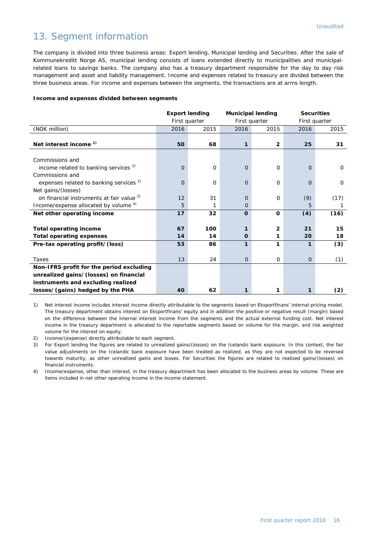## 13. Segment information

The company is divided into three business areas: Export lending, Municipal lending and Securities. After the sale of Kommunekreditt Norge AS, municipal lending consists of loans extended directly to municipalities and municipalrelated loans to savings banks. The company also has a treasury department responsible for the day to day risk management and asset and liability management. Income and expenses related to treasury are divided between the three business areas. For income and expenses between the segments, the transactions are at arms length.

#### **Income and expenses divided between segments**

|                                                    |          | <b>Export lending</b> | <b>Municipal lending</b> |                |             | <b>Securities</b> |
|----------------------------------------------------|----------|-----------------------|--------------------------|----------------|-------------|-------------------|
|                                                    |          | First quarter         |                          | First quarter  |             | First quarter     |
| (NOK million)                                      | 2016     | 2015                  | 2016                     | 2015           | 2016        | 2015              |
|                                                    |          |                       |                          |                |             |                   |
| Net interest income <sup>1)</sup>                  | 50       | 68                    | 1                        | $\overline{2}$ | 25          | 31                |
|                                                    |          |                       |                          |                |             |                   |
| Commissions and                                    |          |                       |                          |                |             |                   |
| income related to banking services $2$             | 0        | $\mathbf 0$           | $\overline{O}$           | 0              | 0           | 0                 |
| Commissions and                                    |          |                       |                          |                |             |                   |
| expenses related to banking services <sup>2)</sup> | $\Omega$ | 0                     | $\Omega$                 | $\Omega$       | $\Omega$    | 0                 |
| Net gains/(losses)                                 |          |                       |                          |                |             |                   |
| on financial instruments at fair value 3)          | 12       | 31                    | $\Omega$                 | 0              | (9)         | (17)              |
| Income/expense allocated by volume <sup>4)</sup>   | 5        | 1                     | $\Omega$                 |                | 5           |                   |
| Net other operating income                         | 17       | 32                    | $\Omega$                 | $\Omega$       | (4)         | (16)              |
|                                                    |          |                       |                          |                |             |                   |
| <b>Total operating income</b>                      | 67       | 100                   | 1                        | $\overline{2}$ | 21          | 15                |
| <b>Total operating expenses</b>                    | 14       | 14                    | $\mathbf 0$              | 1              | 20          | 18                |
| Pre-tax operating profit/(loss)                    | 53       | 86                    | 1                        | 1              | 1           | (3)               |
|                                                    |          |                       |                          |                |             |                   |
| Taxes                                              | 13       | 24                    | $\Omega$                 | $\mathbf 0$    | $\mathbf 0$ | (1)               |
| Non-IFRS profit for the period excluding           |          |                       |                          |                |             |                   |
| unrealized gains/(losses) on financial             |          |                       |                          |                |             |                   |
| instruments and excluding realized                 |          |                       |                          |                |             |                   |
| losses/(gains) hedged by the PHA                   | 40       | 62                    | 1                        | 1              | 1           | (2)               |

1) Net interest income includes interest income directly attributable to the segments based on Eksportfinans' internal pricing model. The treasury department obtains interest on Eksportfinans' equity and in addition the positive or negative result (margin) based on the difference between the internal interest income from the segments and the actual external funding cost. Net interest income in the treasury department is allocated to the reportable segments based on volume for the margin, and risk weighted volume for the interest on equity.

2) Income/(expense) directly attributable to each segment.

3) For Export lending the figures are related to unrealized gains/(losses) on the Icelandic bank exposure. In this context, the fair value adjustments on the Icelandic bank exposure have been treated as realized, as they are not expected to be reversed towards maturity, as other unrealized gains and losses. For Securities the figures are related to realized gains/(losses) on financial instruments.

4) Income/expense, other than interest, in the treasury department has been allocated to the business areas by volume. These are items included in net other operating income in the income statement.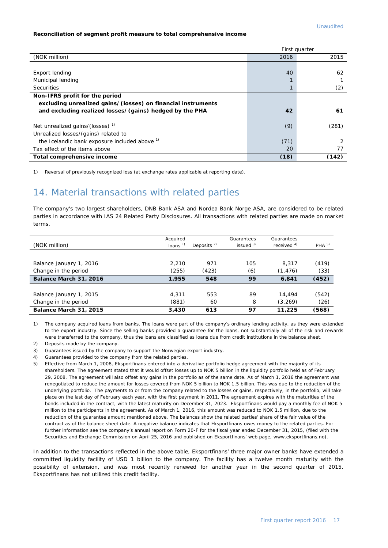#### **Reconciliation of segment profit measure to total comprehensive income**

|                                                              |      | First quarter |
|--------------------------------------------------------------|------|---------------|
| (NOK million)                                                | 2016 | 2015          |
|                                                              |      |               |
| Export lending                                               | 40   | 62            |
| Municipal lending                                            |      |               |
| <b>Securities</b>                                            |      | (2)           |
| Non-IFRS profit for the period                               |      |               |
| excluding unrealized gains/(losses) on financial instruments |      |               |
| and excluding realized losses/(gains) hedged by the PHA      | 42   | 61            |
| Net unrealized gains/(losses) <sup>1)</sup>                  | (9)  | (281)         |
| Unrealized losses/(gains) related to                         |      |               |
| the Icelandic bank exposure included above 1)                | (71) | 2             |
| Tax effect of the items above                                | 20   | 77            |
| Total comprehensive income                                   | (18) | (142)         |

1) Reversal of previously recognized loss (at exchange rates applicable at reporting date).

#### 14. Material transactions with related parties

The company's two largest shareholders, DNB Bank ASA and Nordea Bank Norge ASA, are considered to be related parties in accordance with IAS 24 Related Party Disclosures. All transactions with related parties are made on market terms.

| (NOK million)           | Acquired<br>loans $1$ | Deposits $2$ | Guarantees<br>issued $3)$ | Guarantees<br>received $4)$ | PHA <sup>5</sup> |
|-------------------------|-----------------------|--------------|---------------------------|-----------------------------|------------------|
|                         |                       |              |                           |                             |                  |
| Balance January 1, 2016 | 2.210                 | 971          | 105                       | 8,317                       | (419)            |
| Change in the period    | (255)                 | (423)        | (6)                       | (1, 476)                    | (33)             |
| Balance March 31, 2016  | 1,955                 | 548          | 99                        | 6,841                       | (452)            |
|                         |                       |              |                           |                             |                  |
| Balance January 1, 2015 | 4.311                 | 553          | 89                        | 14,494                      | (542)            |
| Change in the period    | (881)                 | 60           | 8                         | (3, 269)                    | (26)             |
| Balance March 31, 2015  | 3,430                 | 613          | 97                        | 11,225                      | (568)            |

1) The company acquired loans from banks. The loans were part of the company's ordinary lending activity, as they were extended to the export industry. Since the selling banks provided a guarantee for the loans, not substantially all of the risk and rewards were transferred to the company, thus the loans are classified as loans due from credit institutions in the balance sheet.

2) Deposits made by the company.

3) Guarantees issued by the company to support the Norwegian export industry.

4) Guarantees provided to the company from the related parties.

5) Effective from March 1, 2008, Eksportfinans entered into a derivative portfolio hedge agreement with the majority of its shareholders. The agreement stated that it would offset losses up to NOK 5 billion in the liquidity portfolio held as of February 29, 2008. The agreement will also offset any gains in the portfolio as of the same date. As of March 1, 2016 the agreement was renegotiated to reduce the amount for losses covered from NOK 5 billion to NOK 1.5 billion. This was due to the reduction of the underlying portfolio. The payments to or from the company related to the losses or gains, respectively, in the portfolio, will take place on the last day of February each year, with the first payment in 2011. The agreement expires with the maturities of the bonds included in the contract, with the latest maturity on December 31, 2023. Eksportfinans would pay a monthly fee of NOK 5 million to the participants in the agreement. As of March 1, 2016, this amount was reduced to NOK 1.5 million, due to the reduction of the guarantee amount mentioned above. The balances show the related parties' share of the fair value of the contract as of the balance sheet date. A negative balance indicates that Eksportfinans owes money to the related parties. For further information see the company's annual report on Form 20-F for the fiscal year ended December 31, 2015, (filed with the Securities and Exchange Commission on April 25, 2016 and published on Eksportfinans' web page, [www.eksportfinans.no\)](http://www.eksportfinans.no/).

In addition to the transactions reflected in the above table, Eksportfinans' three major owner banks have extended a committed liquidity facility of USD 1 billion to the company. The facility has a twelve month maturity with the possibility of extension, and was most recently renewed for another year in the second quarter of 2015. Eksportfinans has not utilized this credit facility.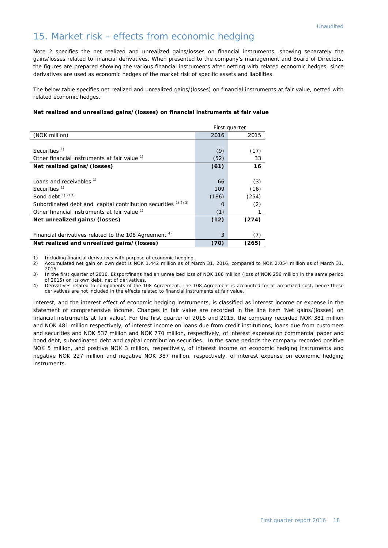#### 15. Market risk - effects from economic hedging

Note 2 specifies the net realized and unrealized gains/losses on financial instruments, showing separately the gains/losses related to financial derivatives. When presented to the company's management and Board of Directors, the figures are prepared showing the various financial instruments after netting with related economic hedges, since derivatives are used as economic hedges of the market risk of specific assets and liabilities.

The below table specifies net realized and unrealized gains/(losses) on financial instruments at fair value, netted with related economic hedges.

#### **Net realized and unrealized gains/(losses) on financial instruments at fair value**

|                                                                  |       | First quarter |
|------------------------------------------------------------------|-------|---------------|
| (NOK million)                                                    | 2016  | 2015          |
|                                                                  |       |               |
| Securities <sup>1)</sup>                                         | (9)   | (17)          |
| Other financial instruments at fair value 1)                     | (52)  | 33            |
| Net realized gains/(losses)                                      | (61)  | 16            |
|                                                                  |       |               |
| Loans and receivables <sup>1)</sup>                              | 66    | (3)           |
| Securities <sup>1)</sup>                                         | 109   | (16)          |
| Bond debt $(1)$ $(2)$ $(3)$                                      | (186) | (254)         |
| Subordinated debt and capital contribution securities 1) 2) 3)   | ∩     | (2)           |
| Other financial instruments at fair value 1)                     | (1)   |               |
| Net unrealized gains/(losses)                                    | (12)  | (274)         |
|                                                                  |       |               |
| Financial derivatives related to the 108 Agreement <sup>4)</sup> | 3     | (7)           |
| Net realized and unrealized gains/(losses)                       | (70)  | (265)         |

1) Including financial derivatives with purpose of economic hedging.<br>2) Accumulated net gain on own debt is NOK 1,442 million as of M

Accumulated net gain on own debt is NOK 1,442 million as of March 31, 2016, compared to NOK 2,054 million as of March 31, 2015.

3) In the first quarter of 2016, Eksportfinans had an unrealized loss of NOK 186 million (loss of NOK 256 million in the same period of 2015) on its own debt, net of derivatives.

4) Derivatives related to components of the 108 Agreement. The 108 Agreement is accounted for at amortized cost, hence these derivatives are not included in the effects related to financial instruments at fair value.

Interest, and the interest effect of economic hedging instruments, is classified as interest income or expense in the statement of comprehensive income. Changes in fair value are recorded in the line item 'Net gains/(losses) on financial instruments at fair value'. For the first quarter of 2016 and 2015, the company recorded NOK 381 million and NOK 481 million respectively, of interest income on loans due from credit institutions, loans due from customers and securities and NOK 537 million and NOK 770 million, respectively, of interest expense on commercial paper and bond debt, subordinated debt and capital contribution securities. In the same periods the company recorded positive NOK 5 million, and positive NOK 3 million, respectively, of interest income on economic hedging instruments and negative NOK 227 million and negative NOK 387 million, respectively, of interest expense on economic hedging instruments.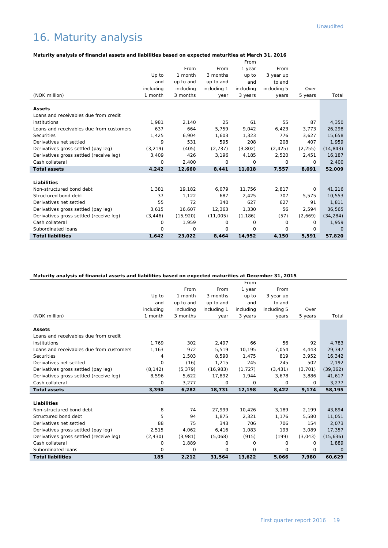# 16. Maturity analysis

#### **Maturity analysis of financial assets and liabilities based on expected maturities at March 31, 2016**

|                                          |           |           |             | From      |             |          |           |
|------------------------------------------|-----------|-----------|-------------|-----------|-------------|----------|-----------|
|                                          |           | From      | From        | 1 year    | From        |          |           |
|                                          | Up to     | 1 month   | 3 months    | up to     | 3 year up   |          |           |
|                                          | and       | up to and | up to and   | and       | to and      |          |           |
|                                          | including | including | including 1 | including | including 5 | Over     |           |
| (NOK million)                            | 1 month   | 3 months  | year        | 3 years   | years       | 5 years  | Total     |
| <b>Assets</b>                            |           |           |             |           |             |          |           |
| Loans and receivables due from credit    |           |           |             |           |             |          |           |
| institutions                             | 1,981     | 2,140     | 25          | 61        | 55          | 87       | 4,350     |
| Loans and receivables due from customers | 637       | 664       | 5,759       | 9,042     | 6,423       | 3,773    | 26,298    |
| Securities                               | 1,425     | 6,904     | 1,603       | 1,323     | 776         | 3,627    | 15,658    |
| Derivatives net settled                  | 9         | 531       | 595         | 208       | 208         | 407      | 1,959     |
| Derivatives gross settled (pay leg)      | (3, 219)  | (405)     | (2,737)     | (3,802)   | (2, 425)    | (2, 255) | (14, 843) |
| Derivatives gross settled (receive leg)  | 3,409     | 426       | 3,196       | 4,185     | 2,520       | 2,451    | 16,187    |
| Cash collateral                          | 0         | 2,400     | 0           | $\Omega$  | 0           | $\Omega$ | 2,400     |
| <b>Total assets</b>                      | 4,242     | 12,660    | 8,441       | 11,018    | 7,557       | 8,091    | 52,009    |
|                                          |           |           |             |           |             |          |           |
| Liabilities                              |           |           |             |           |             |          |           |
| Non-structured bond debt                 | 1,381     | 19,182    | 6,079       | 11,756    | 2,817       | 0        | 41,216    |
| Structured bond debt                     | 37        | 1,122     | 687         | 2,425     | 707         | 5,575    | 10,553    |
| Derivatives net settled                  | 55        | 72        | 340         | 627       | 627         | 91       | 1,811     |
| Derivatives gross settled (pay leg)      | 3,615     | 16,607    | 12,363      | 1,330     | 56          | 2,594    | 36,565    |
| Derivatives gross settled (receive leg)  | (3, 446)  | (15, 920) | (11,005)    | (1, 186)  | (57)        | (2,669)  | (34, 284) |
| Cash collateral                          | 0         | 1,959     | 0           | 0         | 0           | 0        | 1,959     |
| Subordinated loans                       | $\Omega$  | $\Omega$  | $\Omega$    | $\Omega$  | $\Omega$    | $\Omega$ | $\Omega$  |
| <b>Total liabilities</b>                 | 1,642     | 23,022    | 8,464       | 14,952    | 4,150       | 5,591    | 57,820    |

#### **Maturity analysis of financial assets and liabilities based on expected maturities at December 31, 2015**

| From<br>From<br>1 year<br>From<br>3 months<br>Up to<br>1 month<br>up to<br>3 year up<br>up to and<br>up to and<br>and<br>to and<br>and<br>including<br>including 5<br>including<br>including 1<br>including<br>Over<br>(NOK million)<br>1 month<br>3 months<br>3 years<br>5 years<br>year<br>years<br><b>Assets</b><br>Loans and receivables due from credit<br>institutions<br>1.769<br>302<br>2,497<br>56<br>92<br>66<br>972<br>Loans and receivables due from customers<br>1,163<br>5,519<br>10,195<br>7,054<br>4,443<br>Securities<br>1,503<br>819<br>8,590<br>1.475<br>3.952<br>4<br>Derivatives net settled<br>0<br>(16)<br>245<br>245<br>502<br>1,215<br>(8, 142)<br>(5, 379)<br>(16, 983)<br>(1, 727)<br>(3, 431)<br>(3,701)<br>Derivatives gross settled (pay leg)<br>Derivatives gross settled (receive leg)<br>8,596<br>5,622<br>17,892<br>1,944<br>3,678<br>3,886<br>Cash collateral<br>$\circ$<br>3,277<br>0<br>0<br>0<br>0<br><b>Total assets</b><br>3,390<br>6,282<br>18,731<br>9,174<br>12,198<br>8,422<br>Liabilities<br>Non-structured bond debt<br>8<br>27,999<br>10,426<br>3,189<br>74<br>2,199<br>5<br>Structured bond debt<br>94<br>1,875<br>2,321<br>1,176<br>5.580<br>75<br>343<br>706<br>706<br>154<br>Derivatives net settled<br>88<br>1.083<br>193<br>Derivatives gross settled (pay leg)<br>2,515<br>4,062<br>6,416<br>3.089<br>Derivatives gross settled (receive leg)<br>(2, 430)<br>(3,981)<br>(5,068)<br>(915)<br>(199)<br>(3,043)<br>Cash collateral<br>1,889<br>0<br>$\Omega$<br>$\Omega$<br>$\Omega$<br>$\Omega$<br>Subordinated loans<br>0<br>0<br>0<br>0<br>0<br>0<br><b>Total liabilities</b><br>185<br>2,212<br>31,564<br>13,622<br>7,980<br>5,066 |  |  | From |  |             |
|-------------------------------------------------------------------------------------------------------------------------------------------------------------------------------------------------------------------------------------------------------------------------------------------------------------------------------------------------------------------------------------------------------------------------------------------------------------------------------------------------------------------------------------------------------------------------------------------------------------------------------------------------------------------------------------------------------------------------------------------------------------------------------------------------------------------------------------------------------------------------------------------------------------------------------------------------------------------------------------------------------------------------------------------------------------------------------------------------------------------------------------------------------------------------------------------------------------------------------------------------------------------------------------------------------------------------------------------------------------------------------------------------------------------------------------------------------------------------------------------------------------------------------------------------------------------------------------------------------------------------------------------------------------------------------------------|--|--|------|--|-------------|
|                                                                                                                                                                                                                                                                                                                                                                                                                                                                                                                                                                                                                                                                                                                                                                                                                                                                                                                                                                                                                                                                                                                                                                                                                                                                                                                                                                                                                                                                                                                                                                                                                                                                                           |  |  |      |  |             |
|                                                                                                                                                                                                                                                                                                                                                                                                                                                                                                                                                                                                                                                                                                                                                                                                                                                                                                                                                                                                                                                                                                                                                                                                                                                                                                                                                                                                                                                                                                                                                                                                                                                                                           |  |  |      |  |             |
|                                                                                                                                                                                                                                                                                                                                                                                                                                                                                                                                                                                                                                                                                                                                                                                                                                                                                                                                                                                                                                                                                                                                                                                                                                                                                                                                                                                                                                                                                                                                                                                                                                                                                           |  |  |      |  |             |
|                                                                                                                                                                                                                                                                                                                                                                                                                                                                                                                                                                                                                                                                                                                                                                                                                                                                                                                                                                                                                                                                                                                                                                                                                                                                                                                                                                                                                                                                                                                                                                                                                                                                                           |  |  |      |  |             |
|                                                                                                                                                                                                                                                                                                                                                                                                                                                                                                                                                                                                                                                                                                                                                                                                                                                                                                                                                                                                                                                                                                                                                                                                                                                                                                                                                                                                                                                                                                                                                                                                                                                                                           |  |  |      |  | Total       |
|                                                                                                                                                                                                                                                                                                                                                                                                                                                                                                                                                                                                                                                                                                                                                                                                                                                                                                                                                                                                                                                                                                                                                                                                                                                                                                                                                                                                                                                                                                                                                                                                                                                                                           |  |  |      |  |             |
|                                                                                                                                                                                                                                                                                                                                                                                                                                                                                                                                                                                                                                                                                                                                                                                                                                                                                                                                                                                                                                                                                                                                                                                                                                                                                                                                                                                                                                                                                                                                                                                                                                                                                           |  |  |      |  |             |
|                                                                                                                                                                                                                                                                                                                                                                                                                                                                                                                                                                                                                                                                                                                                                                                                                                                                                                                                                                                                                                                                                                                                                                                                                                                                                                                                                                                                                                                                                                                                                                                                                                                                                           |  |  |      |  |             |
|                                                                                                                                                                                                                                                                                                                                                                                                                                                                                                                                                                                                                                                                                                                                                                                                                                                                                                                                                                                                                                                                                                                                                                                                                                                                                                                                                                                                                                                                                                                                                                                                                                                                                           |  |  |      |  | 4,783       |
|                                                                                                                                                                                                                                                                                                                                                                                                                                                                                                                                                                                                                                                                                                                                                                                                                                                                                                                                                                                                                                                                                                                                                                                                                                                                                                                                                                                                                                                                                                                                                                                                                                                                                           |  |  |      |  | 29,347      |
|                                                                                                                                                                                                                                                                                                                                                                                                                                                                                                                                                                                                                                                                                                                                                                                                                                                                                                                                                                                                                                                                                                                                                                                                                                                                                                                                                                                                                                                                                                                                                                                                                                                                                           |  |  |      |  | 16,342      |
|                                                                                                                                                                                                                                                                                                                                                                                                                                                                                                                                                                                                                                                                                                                                                                                                                                                                                                                                                                                                                                                                                                                                                                                                                                                                                                                                                                                                                                                                                                                                                                                                                                                                                           |  |  |      |  | 2,192       |
|                                                                                                                                                                                                                                                                                                                                                                                                                                                                                                                                                                                                                                                                                                                                                                                                                                                                                                                                                                                                                                                                                                                                                                                                                                                                                                                                                                                                                                                                                                                                                                                                                                                                                           |  |  |      |  | (39, 362)   |
|                                                                                                                                                                                                                                                                                                                                                                                                                                                                                                                                                                                                                                                                                                                                                                                                                                                                                                                                                                                                                                                                                                                                                                                                                                                                                                                                                                                                                                                                                                                                                                                                                                                                                           |  |  |      |  | 41,617      |
|                                                                                                                                                                                                                                                                                                                                                                                                                                                                                                                                                                                                                                                                                                                                                                                                                                                                                                                                                                                                                                                                                                                                                                                                                                                                                                                                                                                                                                                                                                                                                                                                                                                                                           |  |  |      |  | 3,277       |
|                                                                                                                                                                                                                                                                                                                                                                                                                                                                                                                                                                                                                                                                                                                                                                                                                                                                                                                                                                                                                                                                                                                                                                                                                                                                                                                                                                                                                                                                                                                                                                                                                                                                                           |  |  |      |  | 58,195      |
|                                                                                                                                                                                                                                                                                                                                                                                                                                                                                                                                                                                                                                                                                                                                                                                                                                                                                                                                                                                                                                                                                                                                                                                                                                                                                                                                                                                                                                                                                                                                                                                                                                                                                           |  |  |      |  |             |
|                                                                                                                                                                                                                                                                                                                                                                                                                                                                                                                                                                                                                                                                                                                                                                                                                                                                                                                                                                                                                                                                                                                                                                                                                                                                                                                                                                                                                                                                                                                                                                                                                                                                                           |  |  |      |  |             |
|                                                                                                                                                                                                                                                                                                                                                                                                                                                                                                                                                                                                                                                                                                                                                                                                                                                                                                                                                                                                                                                                                                                                                                                                                                                                                                                                                                                                                                                                                                                                                                                                                                                                                           |  |  |      |  | 43,894      |
|                                                                                                                                                                                                                                                                                                                                                                                                                                                                                                                                                                                                                                                                                                                                                                                                                                                                                                                                                                                                                                                                                                                                                                                                                                                                                                                                                                                                                                                                                                                                                                                                                                                                                           |  |  |      |  | 11,051      |
|                                                                                                                                                                                                                                                                                                                                                                                                                                                                                                                                                                                                                                                                                                                                                                                                                                                                                                                                                                                                                                                                                                                                                                                                                                                                                                                                                                                                                                                                                                                                                                                                                                                                                           |  |  |      |  | 2,073       |
|                                                                                                                                                                                                                                                                                                                                                                                                                                                                                                                                                                                                                                                                                                                                                                                                                                                                                                                                                                                                                                                                                                                                                                                                                                                                                                                                                                                                                                                                                                                                                                                                                                                                                           |  |  |      |  | 17,357      |
|                                                                                                                                                                                                                                                                                                                                                                                                                                                                                                                                                                                                                                                                                                                                                                                                                                                                                                                                                                                                                                                                                                                                                                                                                                                                                                                                                                                                                                                                                                                                                                                                                                                                                           |  |  |      |  | (15,636)    |
|                                                                                                                                                                                                                                                                                                                                                                                                                                                                                                                                                                                                                                                                                                                                                                                                                                                                                                                                                                                                                                                                                                                                                                                                                                                                                                                                                                                                                                                                                                                                                                                                                                                                                           |  |  |      |  | 1,889       |
|                                                                                                                                                                                                                                                                                                                                                                                                                                                                                                                                                                                                                                                                                                                                                                                                                                                                                                                                                                                                                                                                                                                                                                                                                                                                                                                                                                                                                                                                                                                                                                                                                                                                                           |  |  |      |  | $\mathbf 0$ |
|                                                                                                                                                                                                                                                                                                                                                                                                                                                                                                                                                                                                                                                                                                                                                                                                                                                                                                                                                                                                                                                                                                                                                                                                                                                                                                                                                                                                                                                                                                                                                                                                                                                                                           |  |  |      |  | 60,629      |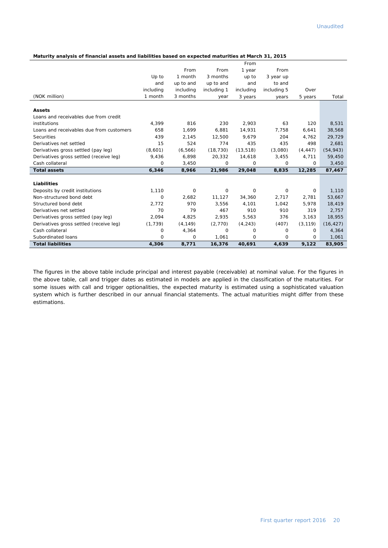| Maturity analysis of financial assets and liabilities based on expected maturities at March 31, 2015 |  |  |  |
|------------------------------------------------------------------------------------------------------|--|--|--|
|                                                                                                      |  |  |  |

|                                          |              |           |              | From      |             |              |                 |
|------------------------------------------|--------------|-----------|--------------|-----------|-------------|--------------|-----------------|
|                                          |              | From      | From         | 1 year    | From        |              |                 |
|                                          | Up to        | 1 month   | 3 months     | up to     | 3 year up   |              |                 |
|                                          | and          | up to and | up to and    | and       | to and      |              |                 |
|                                          | including    | including | including 1  | including | including 5 | Over         |                 |
| (NOK million)                            | 1 month      | 3 months  | year         | 3 years   | years       | 5 years      | Total           |
| <b>Assets</b>                            |              |           |              |           |             |              |                 |
| Loans and receivables due from credit    |              |           |              |           |             |              |                 |
| institutions                             |              | 816       |              | 2,903     |             |              |                 |
| Loans and receivables due from customers | 4,399<br>658 | 1,699     | 230<br>6,881 | 14,931    | 63<br>7,758 | 120<br>6,641 | 8,531<br>38,568 |
|                                          |              |           |              |           |             |              |                 |
| Securities                               | 439          | 2,145     | 12,500       | 9.679     | 204         | 4.762        | 29,729          |
| Derivatives net settled                  | 15           | 524       | 774          | 435       | 435         | 498          | 2,681           |
| Derivatives gross settled (pay leg)      | (8,601)      | (6, 566)  | (18, 730)    | (13, 518) | (3,080)     | (4, 447)     | (54, 943)       |
| Derivatives gross settled (receive leg)  | 9,436        | 6,898     | 20,332       | 14,618    | 3,455       | 4,711        | 59,450          |
| Cash collateral                          | 0            | 3,450     | 0            | 0         | 0           | 0            | 3,450           |
| <b>Total assets</b>                      | 6,346        | 8,966     | 21,986       | 29,048    | 8,835       | 12,285       | 87,467          |
| Liabilities                              |              |           |              |           |             |              |                 |
| Deposits by credit institutions          | 1,110        | 0         | 0            | 0         | 0           | 0            | 1,110           |
| Non-structured bond debt                 | 0            | 2,682     | 11,127       | 34,360    | 2,717       | 2,781        | 53,667          |
| Structured bond debt                     | 2,772        | 970       | 3,556        | 4,101     | 1,042       | 5,978        | 18,419          |
| Derivatives net settled                  | 70           | 79        | 467          | 910       | 910         | 319          | 2,757           |
|                                          |              |           |              |           |             |              |                 |
| Derivatives gross settled (pay leg)      | 2,094        | 4,825     | 2,935        | 5,563     | 376         | 3,163        | 18,955          |
| Derivatives gross settled (receive leg)  | (1,739)      | (4, 149)  | (2,770)      | (4, 243)  | (407)       | (3, 119)     | (16, 427)       |
| Cash collateral                          | 0            | 4,364     | 0            | 0         | $\Omega$    | $\Omega$     | 4,364           |
| Subordinated loans                       | 0            | 0         | 1,061        | 0         | 0           | 0            | 1,061           |
| <b>Total liabilities</b>                 | 4,306        | 8,771     | 16,376       | 40,691    | 4,639       | 9,122        | 83,905          |

The figures in the above table include principal and interest payable (receivable) at nominal value. For the figures in the above table, call and trigger dates as estimated in models are applied in the classification of the maturities. For some issues with call and trigger optionalities, the expected maturity is estimated using a sophisticated valuation system which is further described in our annual financial statements. The actual maturities might differ from these estimations.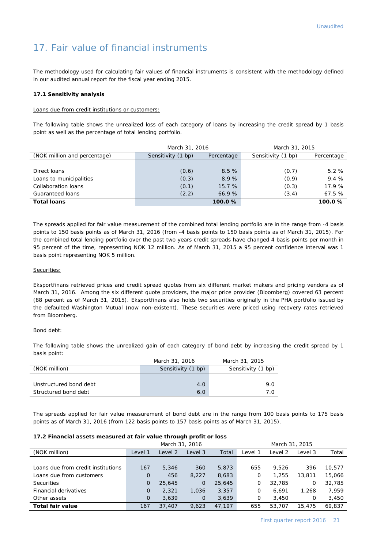## 17. Fair value of financial instruments

The methodology used for calculating fair values of financial instruments is consistent with the methodology defined in our audited annual report for the fiscal year ending 2015.

#### **17.1 Sensitivity analysis**

Loans due from credit institutions or customers:

The following table shows the unrealized loss of each category of loans by increasing the credit spread by 1 basis point as well as the percentage of total lending portfolio.

|                              | March 31, 2016     |            | March 31, 2015     |            |  |
|------------------------------|--------------------|------------|--------------------|------------|--|
| (NOK million and percentage) | Sensitivity (1 bp) | Percentage | Sensitivity (1 bp) | Percentage |  |
|                              |                    |            |                    |            |  |
| Direct loans                 | (0.6)              | 8.5%       | (0.7)              | 5.2%       |  |
| Loans to municipalities      | (0.3)              | 8.9%       | (0.9)              | 9.4 %      |  |
| Collaboration loans          | (0.1)              | 15.7%      | (0.3)              | 17.9 %     |  |
| Guaranteed loans             | (2.2)              | 66.9 %     | (3.4)              | 67.5 %     |  |
| <b>Total loans</b>           |                    | 100.0%     |                    | 100.0%     |  |

The spreads applied for fair value measurement of the combined total lending portfolio are in the range from -4 basis points to 150 basis points as of March 31, 2016 (from -4 basis points to 150 basis points as of March 31, 2015). For the combined total lending portfolio over the past two years credit spreads have changed 4 basis points per month in 95 percent of the time, representing NOK 12 million. As of March 31, 2015 a 95 percent confidence interval was 1 basis point representing NOK 5 million.

#### Securities:

Eksportfinans retrieved prices and credit spread quotes from six different market makers and pricing vendors as of March 31, 2016. Among the six different quote providers, the major price provider (Bloomberg) covered 63 percent (88 percent as of March 31, 2015). Eksportfinans also holds two securities originally in the PHA portfolio issued by the defaulted Washington Mutual (now non-existent). These securities were priced using recovery rates retrieved from Bloomberg.

#### Bond debt:

The following table shows the unrealized gain of each category of bond debt by increasing the credit spread by 1 basis point:

|                        | March 31, 2016     | March 31, 2015     |
|------------------------|--------------------|--------------------|
| (NOK million)          | Sensitivity (1 bp) | Sensitivity (1 bp) |
|                        |                    |                    |
| Unstructured bond debt | 4.0                | 9.0                |
| Structured bond debt   | 6.0                | 70                 |

The spreads applied for fair value measurement of bond debt are in the range from 100 basis points to 175 basis points as of March 31, 2016 (from 122 basis points to 157 basis points as of March 31, 2015).

#### **17.2 Financial assets measured at fair value through profit or loss**

|                                    | March 31, 2016 |         |              |        |         | March 31, 2015 |         |        |
|------------------------------------|----------------|---------|--------------|--------|---------|----------------|---------|--------|
| (NOK million)                      | Level 1        | Level 2 | Level 3      | Total  | Level 1 | Level 2        | Level 3 | Total  |
|                                    |                |         |              |        |         |                |         |        |
| Loans due from credit institutions | 167            | 5,346   | 360          | 5,873  | 655     | 9.526          | 396     | 10,577 |
| Loans due from customers           | $\Omega$       | 456     | 8,227        | 8,683  | 0       | 1,255          | 13,811  | 15,066 |
| <b>Securities</b>                  | 0              | 25,645  | $\mathbf{0}$ | 25,645 | 0       | 32,785         | O       | 32,785 |
| Financial derivatives              | $\overline{O}$ | 2,321   | 1,036        | 3,357  | 0       | 6.691          | 1,268   | 7.959  |
| Other assets                       | $\Omega$       | 3,639   | 0            | 3,639  | 0       | 3,450          | 0       | 3,450  |
| Total fair value                   | 167            | 37,407  | 9.623        | 47.197 | 655     | 53,707         | 15,475  | 69.837 |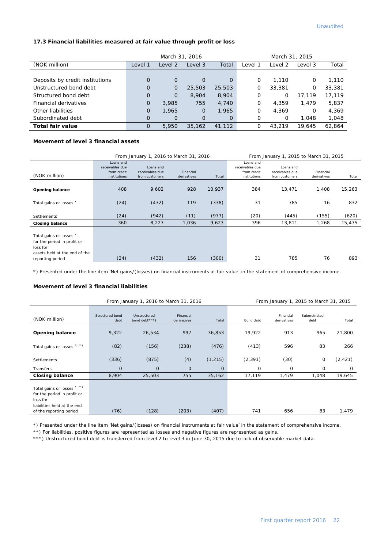#### **17.3 Financial liabilities measured at fair value through profit or loss**

|                                 |             | March 31, 2016 |                |          | March 31, 2015 |         |         |        |
|---------------------------------|-------------|----------------|----------------|----------|----------------|---------|---------|--------|
| (NOK million)                   | Level 1     | Level 2        | Level 3        | Total    | Level 1        | Level 2 | Level 3 | Total  |
|                                 |             |                |                |          |                |         |         |        |
| Deposits by credit institutions | $\Omega$    | $\mathbf 0$    | $\Omega$       | $\Omega$ | 0              | 1,110   | 0       | 1,110  |
| Unstructured bond debt          | $\Omega$    | $\mathbf 0$    | 25,503         | 25,503   | 0              | 33,381  | Ο       | 33,381 |
| Structured bond debt            | $\Omega$    | $\overline{O}$ | 8,904          | 8,904    | O              | 0       | 17.119  | 17,119 |
| Financial derivatives           | $\Omega$    | 3,985          | 755            | 4,740    | 0              | 4.359   | 1.479   | 5,837  |
| Other liabilities               | $\mathbf 0$ | 1.965          | $\overline{0}$ | 1.965    | 0              | 4.369   | O       | 4,369  |
| Subordinated debt               | $\Omega$    | $\mathbf 0$    | $\Omega$       | $\Omega$ | 0              | 0       | 1.048   | 1,048  |
| Total fair value                | O           | 5,950          | 35,162         | 41,112   | 0              | 43,219  | 19,645  | 62.864 |

#### **Movement of level 3 financial assets**

|                                                                                                                                      | From January 1, 2016 to March 31, 2016                      |                                                |                          |        |                                                             | From January 1, 2015 to March 31, 2015         |                          |        |  |
|--------------------------------------------------------------------------------------------------------------------------------------|-------------------------------------------------------------|------------------------------------------------|--------------------------|--------|-------------------------------------------------------------|------------------------------------------------|--------------------------|--------|--|
| (NOK million)                                                                                                                        | Loans and<br>receivables due<br>from credit<br>institutions | Loans and<br>receivables due<br>from customers | Financial<br>derivatives | Total  | Loans and<br>receivables due<br>from credit<br>institutions | Loans and<br>receivables due<br>from customers | Financial<br>derivatives | Total  |  |
| <b>Opening balance</b>                                                                                                               | 408                                                         | 9,602                                          | 928                      | 10,937 | 384                                                         | 13,471                                         | 1,408                    | 15,263 |  |
| Total gains or losses *)                                                                                                             | (24)                                                        | (432)                                          | 119                      | (338)  | 31                                                          | 785                                            | 16                       | 832    |  |
| <b>Settlements</b>                                                                                                                   | (24)                                                        | (942)                                          | (11)                     | (977)  | (20)                                                        | (445)                                          | (155)                    | (620)  |  |
| <b>Closing balance</b>                                                                                                               | 360                                                         | 8,227                                          | 1,036                    | 9,623  | 396                                                         | 13,811                                         | 1,268                    | 15,475 |  |
| Total gains or losses <sup>*</sup> )<br>for the period in profit or<br>loss for<br>assets held at the end of the<br>reporting period | (24)                                                        | (432)                                          | 156                      | (300)  | 31                                                          | 785                                            | 76                       | 893    |  |

\*) Presented under the line item 'Net gains/(losses) on financial instruments at fair value' in the statement of comprehensive income.

#### **Movement of level 3 financial liabilities**

|                                                                                                                                   |                         | From January 1, 2016 to March 31, 2016 |                          | From January 1, 2015 to March 31, 2015 |           |                          |                      |          |
|-----------------------------------------------------------------------------------------------------------------------------------|-------------------------|----------------------------------------|--------------------------|----------------------------------------|-----------|--------------------------|----------------------|----------|
| (NOK million)                                                                                                                     | Structured bond<br>debt | Unstructured<br>bond debt ***)         | Financial<br>derivatives | Total                                  | Bond debt | Financial<br>derivatives | Subordinated<br>debt | Total    |
| <b>Opening balance</b>                                                                                                            | 9,322                   | 26,534                                 | 997                      | 36,853                                 | 19,922    | 913                      | 965                  | 21,800   |
| Total gains or losses *) **)                                                                                                      | (82)                    | (156)                                  | (238)                    | (476)                                  | (413)     | 596                      | 83                   | 266      |
| <b>Settlements</b>                                                                                                                | (336)                   | (875)                                  | (4)                      | (1, 215)                               | (2, 391)  | (30)                     | 0                    | (2, 421) |
| Transfers                                                                                                                         | $\mathbf 0$             | 0                                      | $\mathbf 0$              | $\mathbf{O}$                           | 0         | 0                        | 0                    | 0        |
| <b>Closing balance</b>                                                                                                            | 8,904                   | 25,503                                 | 755                      | 35,162                                 | 17,119    | 1,479                    | 1,048                | 19,645   |
| Total gains or losses *) **)<br>for the period in profit or<br>loss for<br>liabilities held at the end<br>of the reporting period | (76)                    | (128)                                  | (203)                    | (407)                                  | 741       | 656                      | 83                   | 1,479    |

\*) Presented under the line item 'Net gains/(losses) on financial instruments at fair value' in the statement of comprehensive income.

\*\*) For liabilities, positive figures are represented as losses and negative figures are represented as gains.

\*\*\*) Unstructured bond debt is transferred from level 2 to level 3 in June 30, 2015 due to lack of observable market data.